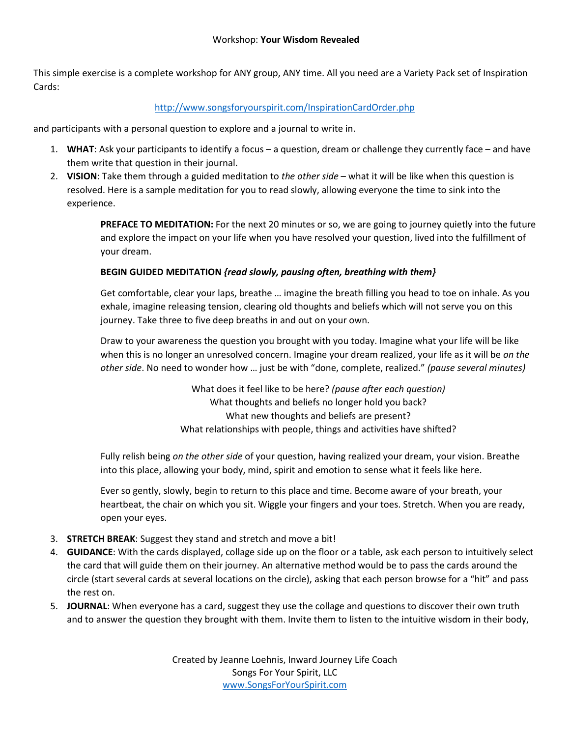This simple exercise is a complete workshop for ANY group, ANY time. All you need are a Variety Pack set of Inspiration Cards:

## http://www.songsforyourspirit.com/InspirationCardOrder.php

and participants with a personal question to explore and a journal to write in.

- 1. **WHAT**: Ask your participants to identify a focus a question, dream or challenge they currently face and have them write that question in their journal.
- 2. **VISION**: Take them through a guided meditation to *the other side*  what it will be like when this question is resolved. Here is a sample meditation for you to read slowly, allowing everyone the time to sink into the experience.

**PREFACE TO MEDITATION:** For the next 20 minutes or so, we are going to journey quietly into the future and explore the impact on your life when you have resolved your question, lived into the fulfillment of your dream.

## **BEGIN GUIDED MEDITATION** *{read slowly, pausing often, breathing with them}*

Get comfortable, clear your laps, breathe … imagine the breath filling you head to toe on inhale. As you exhale, imagine releasing tension, clearing old thoughts and beliefs which will not serve you on this journey. Take three to five deep breaths in and out on your own.

Draw to your awareness the question you brought with you today. Imagine what your life will be like when this is no longer an unresolved concern. Imagine your dream realized, your life as it will be *on the other side*. No need to wonder how … just be with "done, complete, realized." *(pause several minutes)* 

> What does it feel like to be here? *(pause after each question)*  What thoughts and beliefs no longer hold you back? What new thoughts and beliefs are present? What relationships with people, things and activities have shifted?

Fully relish being *on the other side* of your question, having realized your dream, your vision. Breathe into this place, allowing your body, mind, spirit and emotion to sense what it feels like here.

Ever so gently, slowly, begin to return to this place and time. Become aware of your breath, your heartbeat, the chair on which you sit. Wiggle your fingers and your toes. Stretch. When you are ready, open your eyes.

- 3. **STRETCH BREAK**: Suggest they stand and stretch and move a bit!
- 4. **GUIDANCE**: With the cards displayed, collage side up on the floor or a table, ask each person to intuitively select the card that will guide them on their journey. An alternative method would be to pass the cards around the circle (start several cards at several locations on the circle), asking that each person browse for a "hit" and pass the rest on.
- 5. **JOURNAL**: When everyone has a card, suggest they use the collage and questions to discover their own truth and to answer the question they brought with them. Invite them to listen to the intuitive wisdom in their body,

Created by Jeanne Loehnis, Inward Journey Life Coach Songs For Your Spirit, LLC www.SongsForYourSpirit.com